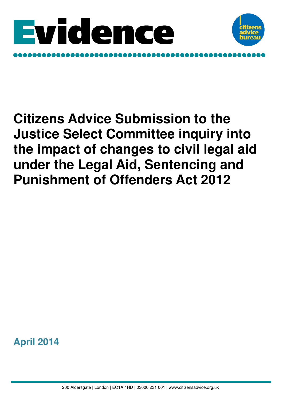



# **Citizens Advice Submission to the Justice Select Committee inquiry into the impact of changes to civil legal aid under the Legal Aid, Sentencing and Punishment of Offenders Act 2012**

**April 2014**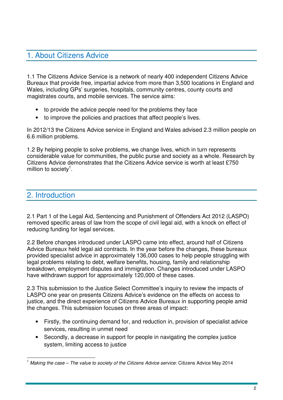# 1. About Citizens Advice

1.1 The Citizens Advice Service is a network of nearly 400 independent Citizens Advice Bureaux that provide free, impartial advice from more than 3,500 locations in England and Wales, including GPs' surgeries, hospitals, community centres, county courts and magistrates courts, and mobile services. The service aims:

- to provide the advice people need for the problems they face
- to improve the policies and practices that affect people's lives.

In 2012/13 the Citizens Advice service in England and Wales advised 2.3 million people on 6.6 million problems.

1.2 By helping people to solve problems, we change lives, which in turn represents considerable value for communities, the public purse and society as a whole. Research by Citizens Advice demonstrates that the Citizens Advice service is worth at least £750 million to society<sup>1</sup>.

## 2. Introduction

2.1 Part 1 of the Legal Aid, Sentencing and Punishment of Offenders Act 2012 (LASPO) removed specific areas of law from the scope of civil legal aid, with a knock on effect of reducing funding for legal services.

2.2 Before changes introduced under LASPO came into effect, around half of Citizens Advice Bureaux held legal aid contracts. In the year before the changes, these bureaux provided specialist advice in approximately 136,000 cases to help people struggling with legal problems relating to debt, welfare benefits, housing, family and relationship breakdown, employment disputes and immigration. Changes introduced under LASPO have withdrawn support for approximately 120,000 of these cases.

2.3 This submission to the Justice Select Committee's inquiry to review the impacts of LASPO one year on presents Citizens Advice's evidence on the effects on access to justice, and the direct experience of Citizens Advice Bureaux in supporting people amid the changes. This submission focuses on three areas of impact:

- Firstly, the continuing demand for, and reduction in, provision of specialist advice services, resulting in unmet need
- Secondly, a decrease in support for people in navigating the complex justice system, limiting access to justice

 $\overline{1}$ <sup>1</sup> Making the case – The value to society of the Citizens Advice service: Citizens Advice May 2014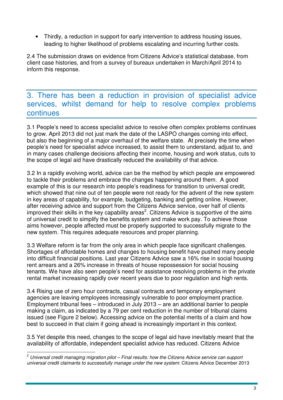• Thirdly, a reduction in support for early intervention to address housing issues, leading to higher likelihood of problems escalating and incurring further costs.

2.4 The submission draws on evidence from Citizens Advice's statistical database, from client case histories, and from a survey of bureaux undertaken in March/April 2014 to inform this response.

# 3. There has been a reduction in provision of specialist advice services, whilst demand for help to resolve complex problems continues

3.1 People's need to access specialist advice to resolve often complex problems continues to grow. April 2013 did not just mark the date of the LASPO changes coming into effect, but also the beginning of a major overhaul of the welfare state. At precisely the time when people's need for specialist advice increased, to assist them to understand, adjust to, and in many cases challenge decisions affecting their income, housing and work status, cuts to the scope of legal aid have drastically reduced the availability of that advice.

3.2 In a rapidly evolving world, advice can be the method by which people are empowered to tackle their problems and embrace the changes happening around them. A good example of this is our research into people's readiness for transition to universal credit, which showed that nine out of ten people were not ready for the advent of the new system in key areas of capability, for example, budgeting, banking and getting online. However, after receiving advice and support from the Citizens Advice service, over half of clients improved their skills in the key capability areas<sup>2</sup>. Citizens Advice is supportive of the aims of universal credit to simplify the benefits system and make work pay. To achieve those aims however, people affected must be properly supported to successfully migrate to the new system. This requires adequate resources and proper planning.

3.3 Welfare reform is far from the only area in which people face significant challenges. Shortages of affordable homes and changes to housing benefit have pushed many people into difficult financial positions. Last year Citizens Advice saw a 16% rise in social housing rent arrears and a 26% increase in threats of house repossession for social housing tenants. We have also seen people's need for assistance resolving problems in the private rental market increasing rapidly over recent years due to poor regulation and high rents.

3.4 Rising use of zero hour contracts, casual contracts and temporary employment agencies are leaving employees increasingly vulnerable to poor employment practice. Employment tribunal fees – introduced in July 2013 – are an additional barrier to people making a claim, as indicated by a 79 per cent reduction in the number of tribunal claims issued (see Figure 2 below). Accessing advice on the potential merits of a claim and how best to succeed in that claim if going ahead is increasingly important in this context.

3.5 Yet despite this need, changes to the scope of legal aid have inevitably meant that the availability of affordable, independent specialist advice has reduced. Citizens Advice

 $\overline{\phantom{a}}$  $^{\text{2}}$  Universal credit managing migration pilot – Final results: how the Citizens Advice service can support universal credit claimants to successfully manage under the new system: Citizens Advice December 2013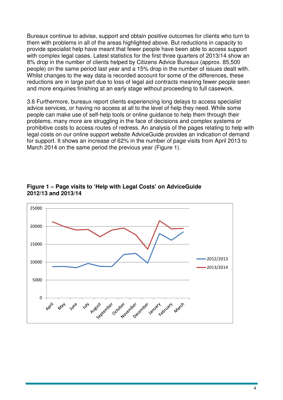Bureaux continue to advise, support and obtain positive outcomes for clients who turn to them with problems in all of the areas highlighted above. But reductions in capacity to provide specialist help have meant that fewer people have been able to access support with complex legal cases. Latest statistics for the first three quarters of 2013/14 show an 8% drop in the number of clients helped by Citizens Advice Bureaux (approx. 85,500 people) on the same period last year and a 15% drop in the number of issues dealt with. Whilst changes to the way data is recorded account for some of the differences, these reductions are in large part due to loss of legal aid contracts meaning fewer people seen and more enquiries finishing at an early stage without proceeding to full casework.

3.6 Furthermore, bureaux report clients experiencing long delays to access specialist advice services, or having no access at all to the level of help they need. While some people can make use of self-help tools or online guidance to help them through their problems, many more are struggling in the face of decisions and complex systems or prohibitive costs to access routes of redress. An analysis of the pages relating to help with legal costs on our online support website AdviceGuide provides an indication of demand for support. It shows an increase of 62% in the number of page visits from April 2013 to March 2014 on the same period the previous year (Figure 1).



#### **Figure 1 – Page visits to 'Help with Legal Costs' on AdviceGuide 2012/13 and 2013/14**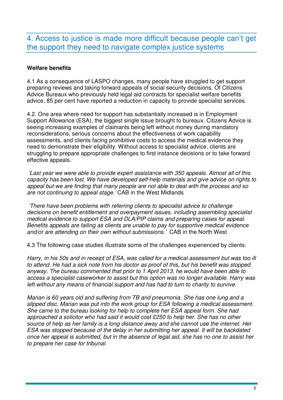# 4. Access to justice is made more difficult because people can't get the support they need to navigate complex justice systems

### **Welfare benefits**

4.1 As a consequence of LASPO changes, many people have struggled to get support preparing reviews and taking forward appeals of social security decisions. Of Citizens Advice Bureaux who previously held legal aid contracts for specialist welfare benefits advice, 85 per cent have reported a reduction in capacity to provide specialist services.

4.2. One area where need for support has substantially increased is in Employment Support Allowance (ESA), the biggest single issue brought to bureaux. Citizens Advice is seeing increasing examples of claimants being left without money during mandatory reconsiderations, serious concerns about the effectiveness of work capability assessments, and clients facing prohibitive costs to access the medical evidence they need to demonstrate their eligibility. Without access to specialist advice, clients are struggling to prepare appropriate challenges to first instance decisions or to take forward effective appeals.

'Last year we were able to provide expert assistance with 350 appeals. Almost all of this capacity has been lost. We have developed self-help materials and give advice on rights to appeal but we are finding that many people are not able to deal with the process and so are not continuing to appeal stage.' CAB in the West Midlands

 'There have been problems with referring clients to specialist advice to challenge decisions on benefit entitlement and overpayment issues, including assembling specialist medical evidence to support ESA and DLA/PIP claims and preparing cases for appeal. Benefits appeals are failing as clients are unable to pay for supportive medical evidence and/or are attending on their own without submissions.' CAB in the North West

4.3 The following case studies illustrate some of the challenges experienced by clients:

Harry, in his 50s and in receipt of ESA, was called for a medical assessment but was too ill to attend. He had a sick note from his doctor as proof of this, but his benefit was stopped anyway. The bureau commented that prior to 1 April 2013, he would have been able to access a specialist caseworker to assist but this option was no longer available. Harry was left without any means of financial support and has had to turn to charity to survive.

Marian is 60 years old and suffering from TB and pneumonia. She has one lung and a slipped disc. Marian was put into the work group for ESA following a medical assessment. She came to the bureau looking for help to complete her ESA appeal form. She had approached a solicitor who had said it would cost £250 to help her. She has no other source of help as her family is a long distance away and she cannot use the internet. Her ESA was stopped because of the delay in her submitting her appeal. It will be backdated once her appeal is submitted, but in the absence of legal aid, she has no one to assist her to prepare her case for tribunal.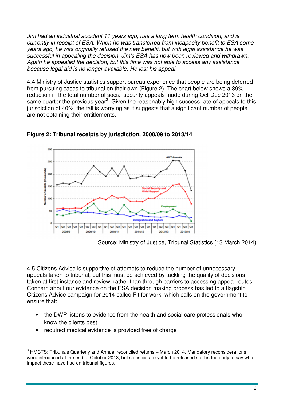Jim had an industrial accident 11 years ago, has a long term health condition, and is currently in receipt of ESA. When he was transferred from incapacity benefit to ESA some years ago, he was originally refused the new benefit, but with legal assistance he was successful in appealing the decision. Jim's ESA has now been reviewed and withdrawn. Again he appealed the decision, but this time was not able to access any assistance because legal aid is no longer available. He lost his appeal.

4.4 Ministry of Justice statistics support bureau experience that people are being deterred from pursuing cases to tribunal on their own (Figure 2). The chart below shows a 39% reduction in the total number of social security appeals made during Oct-Dec 2013 on the same quarter the previous year<sup>3</sup>. Given the reasonably high success rate of appeals to this jurisdiction of 40%, the fall is worrying as it suggests that a significant number of people are not obtaining their entitlements.



**Figure 2: Tribunal receipts by jurisdiction, 2008/09 to 2013/14** 

Source: Ministry of Justice, Tribunal Statistics (13 March 2014)

4.5 Citizens Advice is supportive of attempts to reduce the number of unnecessary appeals taken to tribunal, but this must be achieved by tackling the quality of decisions taken at first instance and review, rather than through barriers to accessing appeal routes. Concern about our evidence on the ESA decision making process has led to a flagship Citizens Advice campaign for 2014 called Fit for work, which calls on the government to ensure that:

- the DWP listens to evidence from the health and social care professionals who know the clients best
- required medical evidence is provided free of charge

 $\overline{a}$  $^3$  HMCTS: Tribunals Quarterly and Annual reconciled returns – March 2014. Mandatory reconsiderations were introduced at the end of October 2013, but statistics are yet to be released so it is too early to say what impact these have had on tribunal figures.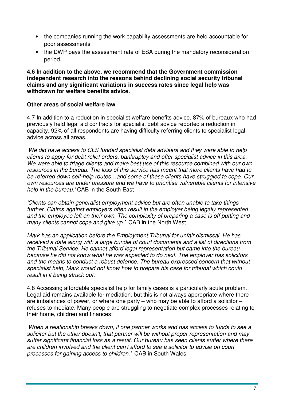- the companies running the work capability assessments are held accountable for poor assessments
- the DWP pays the assessment rate of ESA during the mandatory reconsideration period.

**4.6 In addition to the above, we recommend that the Government commission independent research into the reasons behind declining social security tribunal claims and any significant variations in success rates since legal help was withdrawn for welfare benefits advice.** 

#### **Other areas of social welfare law**

4.7 In addition to a reduction in specialist welfare benefits advice, 87% of bureaux who had previously held legal aid contracts for specialist debt advice reported a reduction in capacity. 92% of all respondents are having difficulty referring clients to specialist legal advice across all areas.

'We did have access to CLS funded specialist debt advisers and they were able to help clients to apply for debt relief orders, bankruptcy and offer specialist advice in this area. We were able to triage clients and make best use of this resource combined with our own resources in the bureau. The loss of this service has meant that more clients have had to be referred down self-help routes…and some of these clients have struggled to cope. Our own resources are under pressure and we have to prioritise vulnerable clients for intensive help in the bureau.' CAB in the South East

'Clients can obtain generalist employment advice but are often unable to take things further. Claims against employers often result in the employer being legally represented and the employee left on their own. The complexity of preparing a case is off putting and many clients cannot cope and give up.' CAB in the North West

Mark has an application before the Employment Tribunal for unfair dismissal. He has received a date along with a large bundle of court documents and a list of directions from the Tribunal Service. He cannot afford legal representation but came into the bureau because he did not know what he was expected to do next. The employer has solicitors and the means to conduct a robust defence. The bureau expressed concern that without specialist help, Mark would not know how to prepare his case for tribunal which could result in it being struck out.

4.8 Accessing affordable specialist help for family cases is a particularly acute problem. Legal aid remains available for mediation, but this is not always appropriate where there are imbalances of power, or where one party – who may be able to afford a solicitor – refuses to mediate. Many people are struggling to negotiate complex processes relating to their home, children and finances:

'When a relationship breaks down, if one partner works and has access to funds to see a solicitor but the other doesn't, that partner will be without proper representation and may suffer significant financial loss as a result. Our bureau has seen clients suffer where there are children involved and the client can't afford to see a solicitor to advise on court processes for gaining access to children.' CAB in South Wales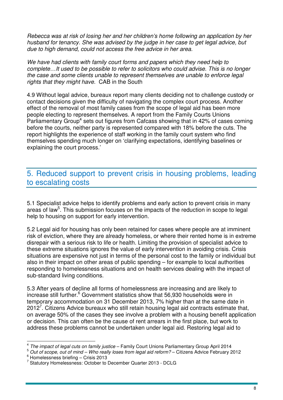Rebecca was at risk of losing her and her children's home following an application by her husband for tenancy. She was advised by the judge in her case to get legal advice, but due to high demand, could not access the free advice in her area.

We have had clients with family court forms and papers which they need help to complete…It used to be possible to refer to solicitors who could advise. This is no longer the case and some clients unable to represent themselves are unable to enforce legal rights that they might have. CAB in the South

4.9 Without legal advice, bureaux report many clients deciding not to challenge custody or contact decisions given the difficulty of navigating the complex court process. Another effect of the removal of most family cases from the scope of legal aid has been more people electing to represent themselves. A report from the Family Courts Unions Parliamentary Group<sup>4</sup> sets out figures from Cafcass showing that in 42% of cases coming before the courts, neither party is represented compared with 18% before the cuts. The report highlights the experience of staff working in the family court system who find themselves spending much longer on 'clarifying expectations, identifying baselines or explaining the court process.'

# 5. Reduced support to prevent crisis in housing problems, leading to escalating costs

5.1 Specialist advice helps to identify problems and early action to prevent crisis in many areas of law<sup>5</sup>. This submission focuses on the impacts of the reduction in scope to legal help to housing on support for early intervention.

5.2 Legal aid for housing has only been retained for cases where people are at imminent risk of eviction, where they are already homeless, or where their rented home is in extreme disrepair with a serious risk to life or health. Limiting the provision of specialist advice to these extreme situations ignores the value of early intervention in avoiding crisis. Crisis situations are expensive not just in terms of the personal cost to the family or individual but also in their impact on other areas of public spending – for example to local authorities responding to homelessness situations and on health services dealing with the impact of sub-standard living conditions.

5.3 After years of decline all forms of homelessness are increasing and are likely to increase still further.<sup>6</sup> Government statistics show that 56,930 households were in temporary accommodation on 31 December 2013, 7% higher than at the same date in 2012<sup>7</sup>. Citizens Advice bureaux who still retain housing legal aid contracts estimate that, on average 50% of the cases they see involve a problem with a housing benefit application or decision. This can often be the cause of rent arrears in the first place, but work to address these problems cannot be undertaken under legal aid. Restoring legal aid to

 4 The impact of legal cuts on family justice – Family Court Unions Parliamentary Group April 2014

<sup>5</sup> Out of scope, out of mind – Who really loses from legal aid reform? – Citizens Advice February 2012 6 Homelessness briefing – Crisis 2013

<sup>7</sup> Statutory Homelessness: October to December Quarter 2013 - DCLG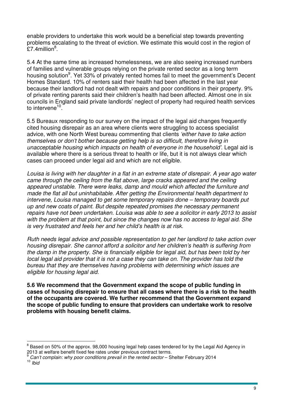enable providers to undertake this work would be a beneficial step towards preventing problems escalating to the threat of eviction. We estimate this would cost in the region of  $$7.4$ million $^8$ .

5.4 At the same time as increased homelessness, we are also seeing increased numbers of families and vulnerable groups relying on the private rented sector as a long term housing solution<sup>9</sup>. Yet 33% of privately rented homes fail to meet the government's Decent Homes Standard. 10% of renters said their health had been affected in the last year because their landlord had not dealt with repairs and poor conditions in their property. 9% of private renting parents said their children's health had been affected. Almost one in six councils in England said private landlords' neglect of property had required health services to intervene<sup>10</sup>.

5.5 Bureaux responding to our survey on the impact of the legal aid changes frequently cited housing disrepair as an area where clients were struggling to access specialist advice, with one North West bureau commenting that clients 'either have to take action themselves or don't bother because getting help is so difficult, therefore living in unacceptable housing which impacts on health of everyone in the household'. Legal aid is available where there is a serious threat to health or life, but it is not always clear which cases can proceed under legal aid and which are not eligible.

Louisa is living with her daughter in a flat in an extreme state of disrepair. A year ago water came through the ceiling from the flat above, large cracks appeared and the ceiling appeared unstable. There were leaks, damp and mould which affected the furniture and made the flat all but uninhabitable. After getting the Environmental health department to intervene, Louisa managed to get some temporary repairs done – temporary boards put up and new coats of paint. But despite repeated promises the necessary permanent repairs have not been undertaken. Louisa was able to see a solicitor in early 2013 to assist with the problem at that point, but since the changes now has no access to legal aid. She is very frustrated and feels her and her child's health is at risk.

Ruth needs legal advice and possible representation to get her landlord to take action over housing disrepair. She cannot afford a solicitor and her children's health is suffering from the damp in the property. She is financially eligible for legal aid, but has been told by her local legal aid provider that it is not a case they can take on. The provider has told the bureau that they are themselves having problems with determining which issues are eligible for housing legal aid.

**5.6 We recommend that the Government expand the scope of public funding in cases of housing disrepair to ensure that all cases where there is a risk to the health of the occupants are covered. We further recommend that the Government expand the scope of public funding to ensure that providers can undertake work to resolve problems with housing benefit claims.**

 $\overline{\phantom{a}}$  $^8$  Based on 50% of the approx. 98,000 housing legal help cases tendered for by the Legal Aid Agency in 2013 at welfare benefit fixed fee rates under previous contract terms.

 $\frac{9}{9}$  Can't complain: why poor conditions prevail in the rented sector – Shelter February 2014  $10$  Ibid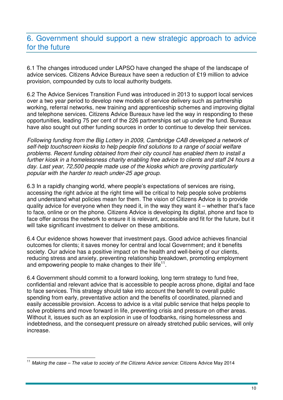# 6. Government should support a new strategic approach to advice for the future

6.1 The changes introduced under LAPSO have changed the shape of the landscape of advice services. Citizens Advice Bureaux have seen a reduction of £19 million to advice provision, compounded by cuts to local authority budgets.

6.2 The Advice Services Transition Fund was introduced in 2013 to support local services over a two year period to develop new models of service delivery such as partnership working, referral networks, new training and apprenticeship schemes and improving digital and telephone services. Citizens Advice Bureaux have led the way in responding to these opportunities, leading 75 per cent of the 226 partnerships set up under the fund. Bureaux have also sought out other funding sources in order to continue to develop their services.

Following funding from the Big Lottery in 2009, Cambridge CAB developed a network of self-help touchscreen kiosks to help people find solutions to a range of social welfare problems. Recent funding obtained from their city council has enabled them to install a further kiosk in a homelessness charity enabling free advice to clients and staff 24 hours a day. Last year, 72,500 people made use of the kiosks which are proving particularly popular with the harder to reach under-25 age group.

6.3 In a rapidly changing world, where people's expectations of services are rising, accessing the right advice at the right time will be critical to help people solve problems and understand what policies mean for them. The vision of Citizens Advice is to provide quality advice for everyone when they need it, in the way they want it – whether that's face to face, online or on the phone. Citizens Advice is developing its digital, phone and face to face offer across the network to ensure it is relevant, accessible and fit for the future, but it will take significant investment to deliver on these ambitions.

6.4 Our evidence shows however that investment pays. Good advice achieves financial outcomes for clients; it saves money for central and local Government; and it benefits society. Our advice has a positive impact on the health and well-being of our clients, reducing stress and anxiety, preventing relationship breakdown, promoting employment and empowering people to make changes to their life $11$ .

6.4 Government should commit to a forward looking, long term strategy to fund free, confidential and relevant advice that is accessible to people across phone, digital and face to face services. This strategy should take into account the benefit to overall public spending from early, preventative action and the benefits of coordinated, planned and easily accessible provision. Access to advice is a vital public service that helps people to solve problems and move forward in life, preventing crisis and pressure on other areas. Without it, issues such as an explosion in use of foodbanks, rising homelessness and indebtedness, and the consequent pressure on already stretched public services, will only increase.

 $\overline{1}$  $11$  Making the case – The value to society of the Citizens Advice service: Citizens Advice May 2014